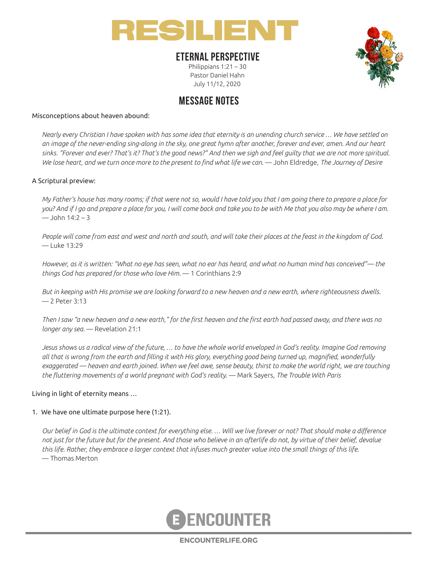

### **ETERNAL PERSPECTIVE**

Philippians 1:21 – 30 Pastor Daniel Hahn July 11/12, 2020



## **MESSAGE NOTES**

#### Misconceptions about heaven abound:

*Nearly every Christian I have spoken with has some idea that eternity is an unending church service … We have settled on an image of the never-ending sing-along in the sky, one great hymn after another, forever and ever, amen. And our heart sinks. "Forever and ever? That's it? That's the good news?" And then we sigh and feel guilty that we are not more spiritual. We lose heart, and we turn once more to the present to find what life we can.* — John Eldredge, *The Journey of Desire*

#### A Scriptural preview:

*My Father's house has many rooms; if that were not so, would I have told you that I am going there to prepare a place for you? And if I go and prepare a place for you, I will come back and take you to be with Me that you also may be where I am.*   $-$  John 14:2 – 3

*People will come from east and west and north and south, and will take their places at the feast in the kingdom of God.*  — Luke 13:29

*However, as it is written: "What no eye has seen, what no ear has heard, and what no human mind has conceived"— the things God has prepared for those who love Him.* — 1 Corinthians 2:9

*But in keeping with His promise we are looking forward to a new heaven and a new earth, where righteousness dwells.*  — 2 Peter 3:13

*Then I saw "a new heaven and a new earth," for the first heaven and the first earth had passed away, and there was no longer any sea.* — Revelation 21:1

*Jesus shows us a radical view of the future, … to have the whole world enveloped in God's reality. Imagine God removing all that is wrong from the earth and filling it with His glory, everything good being turned up, magnified, wonderfully exaggerated — heaven and earth joined. When we feel awe, sense beauty, thirst to make the world right, we are touching the fluttering movements of a world pregnant with God's reality.* — Mark Sayers, *The Trouble With Paris*

#### Living in light of eternity means …

#### 1. We have one ultimate purpose here (1:21).

*Our belief in God is the ultimate context for everything else. … Will we live forever or not? That should make a difference not just for the future but for the present. And those who believe in an afterlife do not, by virtue of their belief, devalue this life. Rather, they embrace a larger context that infuses much greater value into the small things of this life.*  — Thomas Merton